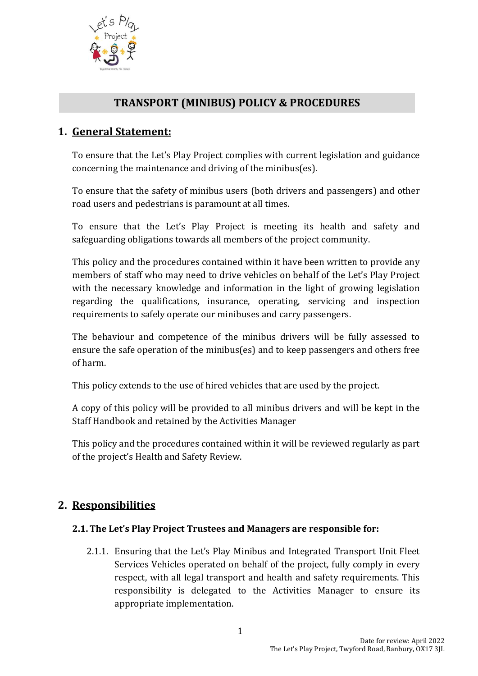

# **TRANSPORT (MINIBUS) POLICY & PROCEDURES**

# **1. General Statement:**

To ensure that the Let's Play Project complies with current legislation and guidance concerning the maintenance and driving of the minibus(es).

To ensure that the safety of minibus users (both drivers and passengers) and other road users and pedestrians is paramount at all times.

To ensure that the Let's Play Project is meeting its health and safety and safeguarding obligations towards all members of the project community.

This policy and the procedures contained within it have been written to provide any members of staff who may need to drive vehicles on behalf of the Let's Play Project with the necessary knowledge and information in the light of growing legislation regarding the qualifications, insurance, operating, servicing and inspection requirements to safely operate our minibuses and carry passengers.

The behaviour and competence of the minibus drivers will be fully assessed to ensure the safe operation of the minibus(es) and to keep passengers and others free of harm.

This policy extends to the use of hired vehicles that are used by the project.

A copy of this policy will be provided to all minibus drivers and will be kept in the Staff Handbook and retained by the Activities Manager

This policy and the procedures contained within it will be reviewed regularly as part of the project's Health and Safety Review.

# **2. Responsibilities**

#### **2.1.The Let's Play Project Trustees and Managers are responsible for:**

2.1.1. Ensuring that the Let's Play Minibus and Integrated Transport Unit Fleet Services Vehicles operated on behalf of the project, fully comply in every respect, with all legal transport and health and safety requirements. This responsibility is delegated to the Activities Manager to ensure its appropriate implementation.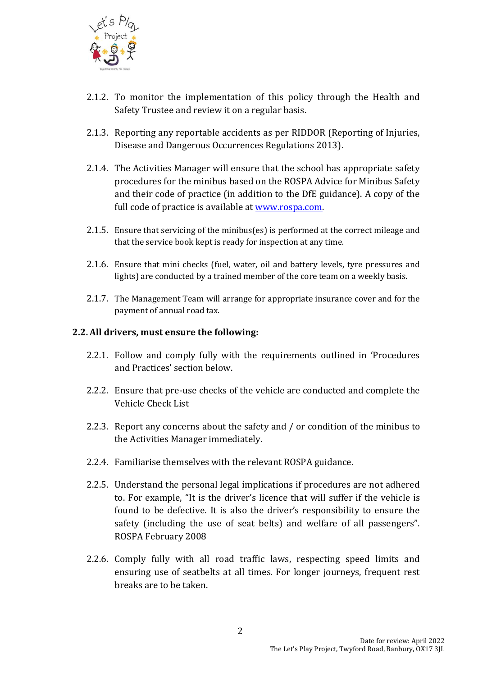

- 2.1.2. To monitor the implementation of this policy through the Health and Safety Trustee and review it on a regular basis.
- 2.1.3. Reporting any reportable accidents as per RIDDOR (Reporting of Injuries, Disease and Dangerous Occurrences Regulations 2013).
- 2.1.4. The Activities Manager will ensure that the school has appropriate safety procedures for the minibus based on the ROSPA Advice for Minibus Safety and their code of practice (in addition to the DfE guidance). A copy of the full code of practice is available at [www.rospa.com.](http://www.rospa.com/)
- 2.1.5. Ensure that servicing of the minibus(es) is performed at the correct mileage and that the service book kept is ready for inspection at any time.
- 2.1.6. Ensure that mini checks (fuel, water, oil and battery levels, tyre pressures and lights) are conducted by a trained member of the core team on a weekly basis.
- 2.1.7. The Management Team will arrange for appropriate insurance cover and for the payment of annual road tax.

#### **2.2.All drivers, must ensure the following:**

- 2.2.1. Follow and comply fully with the requirements outlined in 'Procedures and Practices' section below.
- 2.2.2. Ensure that pre-use checks of the vehicle are conducted and complete the Vehicle Check List
- 2.2.3. Report any concerns about the safety and / or condition of the minibus to the Activities Manager immediately.
- 2.2.4. Familiarise themselves with the relevant ROSPA guidance.
- 2.2.5. Understand the personal legal implications if procedures are not adhered to. For example, "It is the driver's licence that will suffer if the vehicle is found to be defective. It is also the driver's responsibility to ensure the safety (including the use of seat belts) and welfare of all passengers". ROSPA February 2008
- 2.2.6. Comply fully with all road traffic laws, respecting speed limits and ensuring use of seatbelts at all times. For longer journeys, frequent rest breaks are to be taken.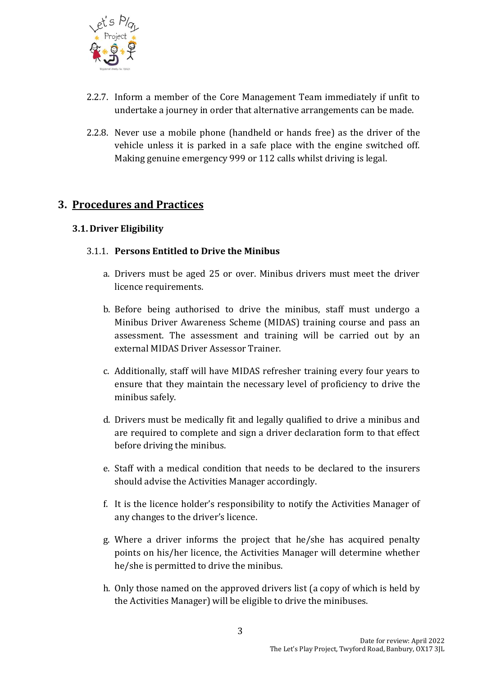

- 2.2.7. Inform a member of the Core Management Team immediately if unfit to undertake a journey in order that alternative arrangements can be made.
- 2.2.8. Never use a mobile phone (handheld or hands free) as the driver of the vehicle unless it is parked in a safe place with the engine switched off. Making genuine emergency 999 or 112 calls whilst driving is legal.

# **3. Procedures and Practices**

# **3.1. Driver Eligibility**

# 3.1.1. **Persons Entitled to Drive the Minibus**

- a. Drivers must be aged 25 or over. Minibus drivers must meet the driver licence requirements.
- b. Before being authorised to drive the minibus, staff must undergo a Minibus Driver Awareness Scheme (MIDAS) training course and pass an assessment. The assessment and training will be carried out by an external MIDAS Driver Assessor Trainer.
- c. Additionally, staff will have MIDAS refresher training every four years to ensure that they maintain the necessary level of proficiency to drive the minibus safely.
- d. Drivers must be medically fit and legally qualified to drive a minibus and are required to complete and sign a driver declaration form to that effect before driving the minibus.
- e. Staff with a medical condition that needs to be declared to the insurers should advise the Activities Manager accordingly.
- f. It is the licence holder's responsibility to notify the Activities Manager of any changes to the driver's licence.
- g. Where a driver informs the project that he/she has acquired penalty points on his/her licence, the Activities Manager will determine whether he/she is permitted to drive the minibus.
- h. Only those named on the approved drivers list (a copy of which is held by the Activities Manager) will be eligible to drive the minibuses.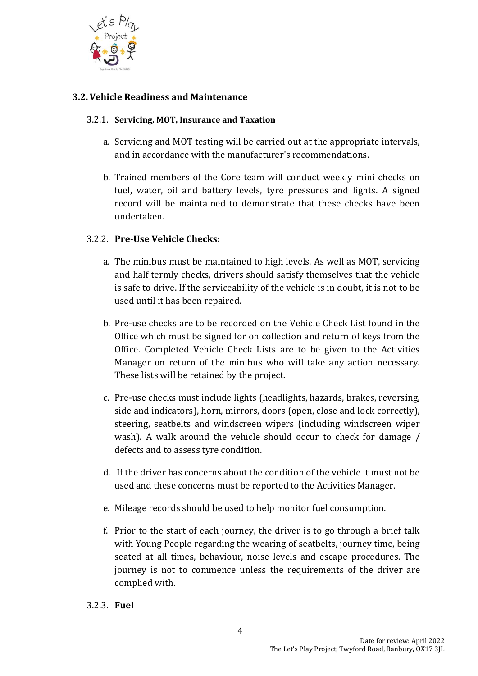

## **3.2.Vehicle Readiness and Maintenance**

#### 3.2.1. **Servicing, MOT, Insurance and Taxation**

- a. Servicing and MOT testing will be carried out at the appropriate intervals, and in accordance with the manufacturer's recommendations.
- b. Trained members of the Core team will conduct weekly mini checks on fuel, water, oil and battery levels, tyre pressures and lights. A signed record will be maintained to demonstrate that these checks have been undertaken.

### 3.2.2. **Pre-Use Vehicle Checks:**

- a. The minibus must be maintained to high levels. As well as MOT, servicing and half termly checks, drivers should satisfy themselves that the vehicle is safe to drive. If the serviceability of the vehicle is in doubt, it is not to be used until it has been repaired.
- b. Pre-use checks are to be recorded on the Vehicle Check List found in the Office which must be signed for on collection and return of keys from the Office. Completed Vehicle Check Lists are to be given to the Activities Manager on return of the minibus who will take any action necessary. These lists will be retained by the project.
- c. Pre-use checks must include lights (headlights, hazards, brakes, reversing, side and indicators), horn, mirrors, doors (open, close and lock correctly), steering, seatbelts and windscreen wipers (including windscreen wiper wash). A walk around the vehicle should occur to check for damage / defects and to assess tyre condition.
- d. If the driver has concerns about the condition of the vehicle it must not be used and these concerns must be reported to the Activities Manager.
- e. Mileage records should be used to help monitor fuel consumption.
- f. Prior to the start of each journey, the driver is to go through a brief talk with Young People regarding the wearing of seatbelts, journey time, being seated at all times, behaviour, noise levels and escape procedures. The journey is not to commence unless the requirements of the driver are complied with.
- 3.2.3. **Fuel**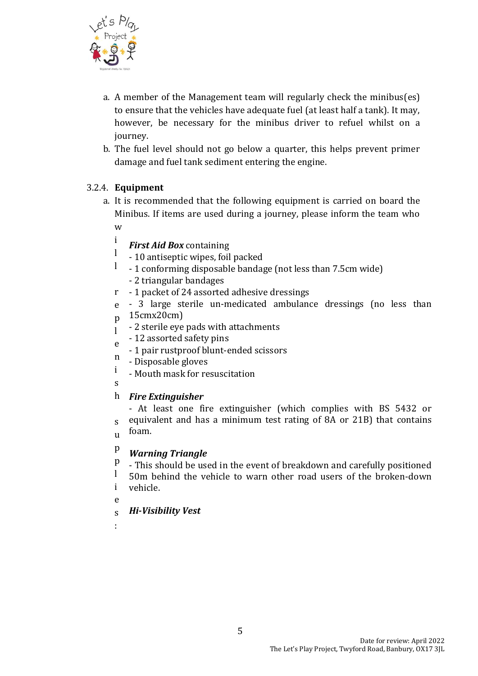

- a. A member of the Management team will regularly check the minibus(es) to ensure that the vehicles have adequate fuel (at least half a tank). It may, however, be necessary for the minibus driver to refuel whilst on a journey.
- b. The fuel level should not go below a quarter, this helps prevent primer damage and fuel tank sediment entering the engine.

# 3.2.4. **Equipment**

i

- a. It is recommended that the following equipment is carried on board the Minibus. If items are used during a journey, please inform the team who w
	- *First Aid Box* containing
	- l - 10 antiseptic wipes, foil packed
	- l - 1 conforming disposable bandage (not less than 7.5cm wide) - 2 triangular bandages
	- r 1 packet of 24 assorted adhesive dressings
	- e - 3 large sterile un-medicated ambulance dressings (no less than
	- p 15cmx20cm)
	- $\mathbf{I}$ - 2 sterile eye pads with attachments
	- e - 12 assorted safety pins
	- 1 pair rustproof blunt-ended scissors
	- n - Disposable gloves
	- i - Mouth mask for resuscitation
	- s

# h *Fire Extinguisher*

s u - At least one fire extinguisher (which complies with BS 5432 or equivalent and has a minimum test rating of 8A or 21B) that contains foam.

#### p *Warning Triangle*

p - This should be used in the event of breakdown and carefully positioned

l i 50m behind the vehicle to warn other road users of the broken-down vehicle.

- e
- s *Hi-Visibility Vest*
- :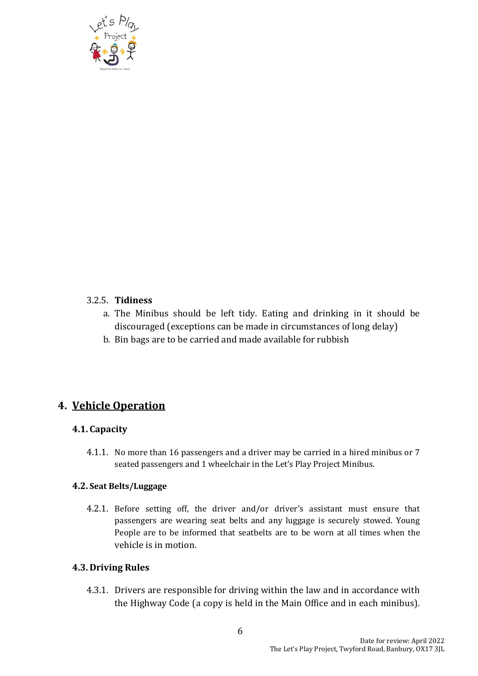

#### 3.2.5. **Tidiness**

- a. The Minibus should be left tidy. Eating and drinking in it should be discouraged (exceptions can be made in circumstances of long delay)
- b. Bin bags are to be carried and made available for rubbish

# **4. Vehicle Operation**

#### **4.1. Capacity**

4.1.1. No more than 16 passengers and a driver may be carried in a hired minibus or 7 seated passengers and 1 wheelchair in the Let's Play Project Minibus.

#### **4.2. Seat Belts/Luggage**

4.2.1. Before setting off, the driver and/or driver's assistant must ensure that passengers are wearing seat belts and any luggage is securely stowed. Young People are to be informed that seatbelts are to be worn at all times when the vehicle is in motion.

#### **4.3. Driving Rules**

4.3.1. Drivers are responsible for driving within the law and in accordance with the Highway Code (a copy is held in the Main Office and in each minibus).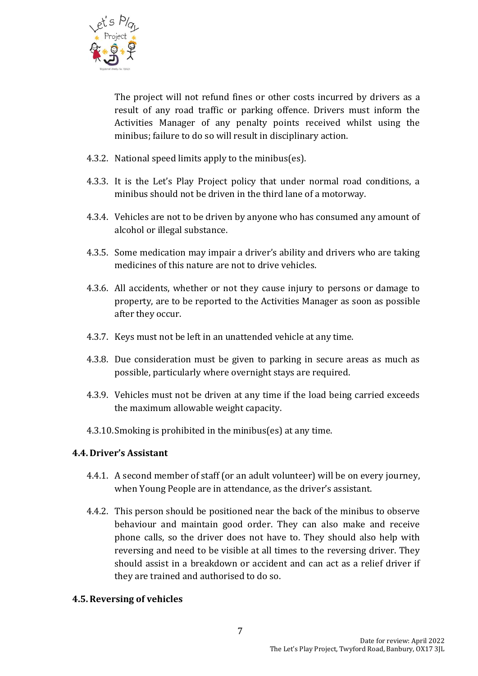

The project will not refund fines or other costs incurred by drivers as a result of any road traffic or parking offence. Drivers must inform the Activities Manager of any penalty points received whilst using the minibus; failure to do so will result in disciplinary action.

- 4.3.2. National speed limits apply to the minibus(es).
- 4.3.3. It is the Let's Play Project policy that under normal road conditions, a minibus should not be driven in the third lane of a motorway.
- 4.3.4. Vehicles are not to be driven by anyone who has consumed any amount of alcohol or illegal substance.
- 4.3.5. Some medication may impair a driver's ability and drivers who are taking medicines of this nature are not to drive vehicles.
- 4.3.6. All accidents, whether or not they cause injury to persons or damage to property, are to be reported to the Activities Manager as soon as possible after they occur.
- 4.3.7. Keys must not be left in an unattended vehicle at any time.
- 4.3.8. Due consideration must be given to parking in secure areas as much as possible, particularly where overnight stays are required.
- 4.3.9. Vehicles must not be driven at any time if the load being carried exceeds the maximum allowable weight capacity.
- 4.3.10.Smoking is prohibited in the minibus(es) at any time.

#### **4.4. Driver's Assistant**

- 4.4.1. A second member of staff (or an adult volunteer) will be on every journey, when Young People are in attendance, as the driver's assistant.
- 4.4.2. This person should be positioned near the back of the minibus to observe behaviour and maintain good order. They can also make and receive phone calls, so the driver does not have to. They should also help with reversing and need to be visible at all times to the reversing driver. They should assist in a breakdown or accident and can act as a relief driver if they are trained and authorised to do so.

#### **4.5.Reversing of vehicles**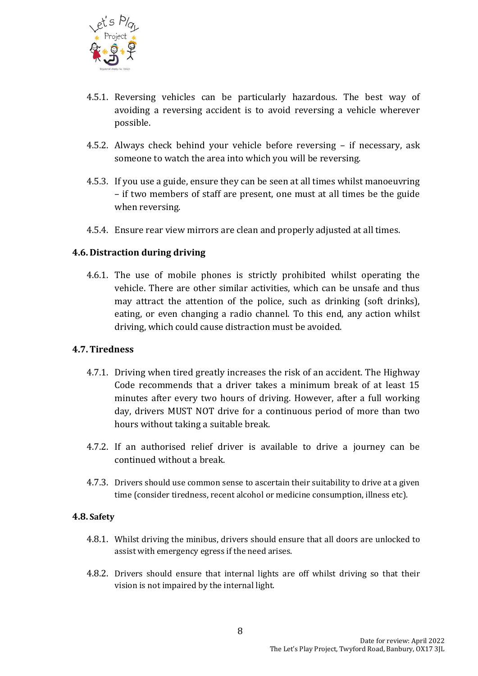

- 4.5.1. Reversing vehicles can be particularly hazardous. The best way of avoiding a reversing accident is to avoid reversing a vehicle wherever possible.
- 4.5.2. Always check behind your vehicle before reversing if necessary, ask someone to watch the area into which you will be reversing.
- 4.5.3. If you use a guide, ensure they can be seen at all times whilst manoeuvring – if two members of staff are present, one must at all times be the guide when reversing.
- 4.5.4. Ensure rear view mirrors are clean and properly adjusted at all times.

### **4.6. Distraction during driving**

4.6.1. The use of mobile phones is strictly prohibited whilst operating the vehicle. There are other similar activities, which can be unsafe and thus may attract the attention of the police, such as drinking (soft drinks), eating, or even changing a radio channel. To this end, any action whilst driving, which could cause distraction must be avoided.

#### **4.7.Tiredness**

- 4.7.1. Driving when tired greatly increases the risk of an accident. The Highway Code recommends that a driver takes a minimum break of at least 15 minutes after every two hours of driving. However, after a full working day, drivers MUST NOT drive for a continuous period of more than two hours without taking a suitable break.
- 4.7.2. If an authorised relief driver is available to drive a journey can be continued without a break.
- 4.7.3. Drivers should use common sense to ascertain their suitability to drive at a given time (consider tiredness, recent alcohol or medicine consumption, illness etc).

#### **4.8. Safety**

- 4.8.1. Whilst driving the minibus, drivers should ensure that all doors are unlocked to assist with emergency egress if the need arises.
- 4.8.2. Drivers should ensure that internal lights are off whilst driving so that their vision is not impaired by the internal light.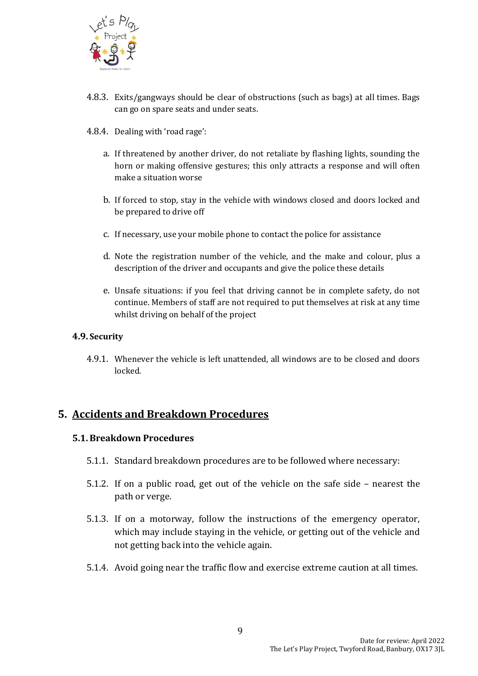

- 4.8.3. Exits/gangways should be clear of obstructions (such as bags) at all times. Bags can go on spare seats and under seats.
- 4.8.4. Dealing with 'road rage':
	- a. If threatened by another driver, do not retaliate by flashing lights, sounding the horn or making offensive gestures; this only attracts a response and will often make a situation worse
	- b. If forced to stop, stay in the vehicle with windows closed and doors locked and be prepared to drive off
	- c. If necessary, use your mobile phone to contact the police for assistance
	- d. Note the registration number of the vehicle, and the make and colour, plus a description of the driver and occupants and give the police these details
	- e. Unsafe situations: if you feel that driving cannot be in complete safety, do not continue. Members of staff are not required to put themselves at risk at any time whilst driving on behalf of the project

#### **4.9. Security**

4.9.1. Whenever the vehicle is left unattended, all windows are to be closed and doors locked.

# **5. Accidents and Breakdown Procedures**

#### **5.1.Breakdown Procedures**

- 5.1.1. Standard breakdown procedures are to be followed where necessary:
- 5.1.2. If on a public road, get out of the vehicle on the safe side nearest the path or verge.
- 5.1.3. If on a motorway, follow the instructions of the emergency operator, which may include staying in the vehicle, or getting out of the vehicle and not getting back into the vehicle again.
- 5.1.4. Avoid going near the traffic flow and exercise extreme caution at all times.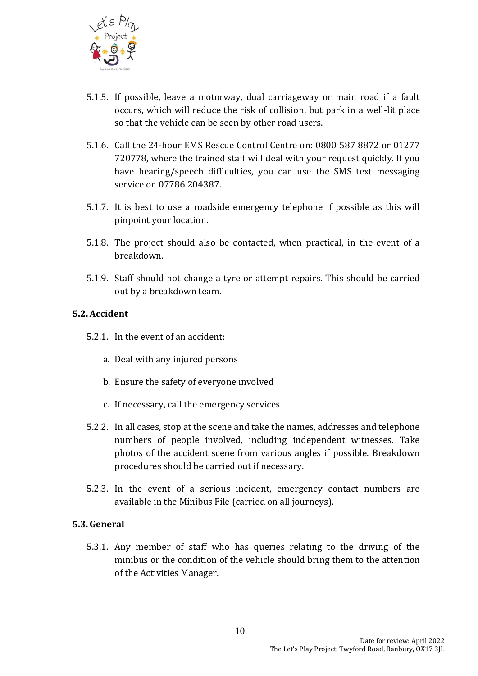

- 5.1.5. If possible, leave a motorway, dual carriageway or main road if a fault occurs, which will reduce the risk of collision, but park in a well-lit place so that the vehicle can be seen by other road users.
- 5.1.6. Call the 24-hour EMS Rescue Control Centre on: 0800 587 8872 or 01277 720778, where the trained staff will deal with your request quickly. If you have hearing/speech difficulties, you can use the SMS text messaging service on 07786 204387.
- 5.1.7. It is best to use a roadside emergency telephone if possible as this will pinpoint your location.
- 5.1.8. The project should also be contacted, when practical, in the event of a breakdown.
- 5.1.9. Staff should not change a tyre or attempt repairs. This should be carried out by a breakdown team.

### **5.2.Accident**

- 5.2.1. In the event of an accident:
	- a. Deal with any injured persons
	- b. Ensure the safety of everyone involved
	- c. If necessary, call the emergency services
- 5.2.2. In all cases, stop at the scene and take the names, addresses and telephone numbers of people involved, including independent witnesses. Take photos of the accident scene from various angles if possible. Breakdown procedures should be carried out if necessary.
- 5.2.3. In the event of a serious incident, emergency contact numbers are available in the Minibus File (carried on all journeys).

#### **5.3.General**

5.3.1. Any member of staff who has queries relating to the driving of the minibus or the condition of the vehicle should bring them to the attention of the Activities Manager.